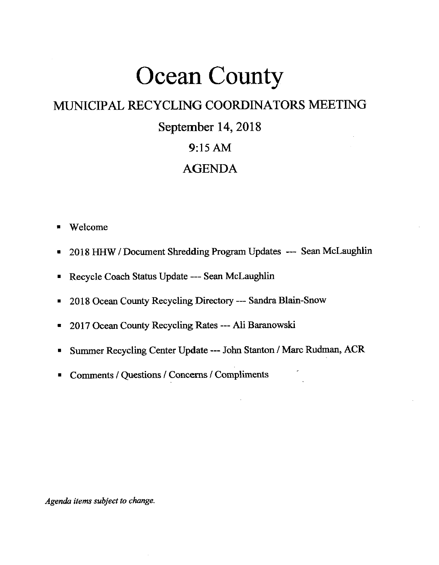# Ocean County

## MUNICIPAL RECYCLING COORDINATORS MEETING

# September 14,2018

### 9:15 AM

### AGENDA

- . Welcome
- . 20i8 HHW/Document Shredding Program Updates --- SeanMclaughlin
- Recycle Coach Status Update --- Sean McLaughlin
- 2018 Ocean County Recycling Directory --- Sandra Blain-Snow
- . 2Ol7 Ocean County Recycling Rates -- Ali Baranowski
- . Summer Recycling Center Update --- John Stanton / Marc Rudman, ACR
- Comments / Questions / Concerns / Compliments

Agenda items subject to change.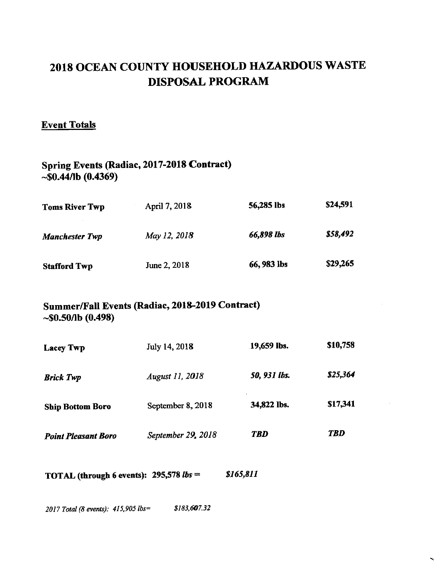# 2018 OCEAN COUNTY HOUSEHOLD HAZARDOUS WASTE DISPOSAL PROGRAM

#### Event Totals

#### Spring Events (Radiac, 2017-2018 Contract)  $-$ \$0.44/lb (0.4369)

| Toms River Twp      | April 7, 2018 | 56,285 lbs  | \$24,591 |
|---------------------|---------------|-------------|----------|
| Manchester Twp      | May 12, 2018  | 66,898 lbs  | \$58,492 |
| <b>Stafford Twp</b> | June 2, 2018  | 66, 983 lbs | \$29,265 |

#### Summer/Fall Events (Radiac, 2018-2019 Contract) -\$0.s0/Ib (0.498)

| <b>Lacey Twp</b>           | July 14, 2018          | 19,659 lbs.  | \$10,758   |
|----------------------------|------------------------|--------------|------------|
| <b>Brick Twp</b>           | <b>August 11, 2018</b> | 50, 931 lbs. | \$25,364   |
| <b>Ship Bottom Boro</b>    | September 8, 2018      | 34,822 lbs.  | \$17,341   |
| <b>Point Pleasant Boro</b> | September 29, 2018     | <b>TBD</b>   | <b>TBD</b> |

 $\sim$ 

TOTAL (through 6 events): 295,578 *lbs = \$165,811* 

2017 Total (8 events): 415,905 lbs= \$183,607.32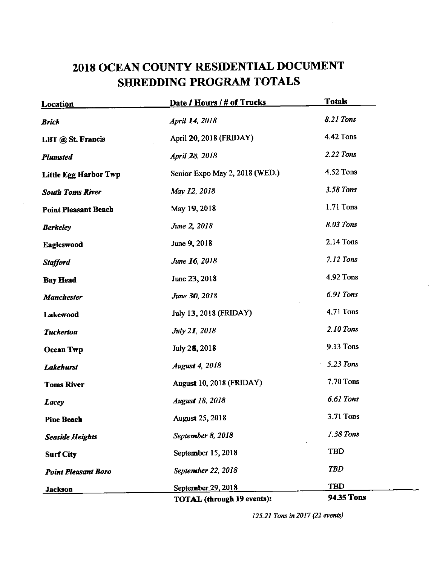# 2018 OCEAN COUNTY RESIDENTIAL DOCUMENT SHREDDING PROGRAM TOTALS

| <b>Location</b>              | Date / Hours / # of Trucks        | <b>Totals</b> |
|------------------------------|-----------------------------------|---------------|
| <b>Brick</b>                 | April 14, 2018                    | 8.21 Tons     |
| LBT @ St. Francis            | April 20, 2018 (FRIDAY)           | 4.42 Tons     |
| <b>Plumsted</b>              | April 28, 2018                    | 2.22 Tons     |
| <b>Little Egg Harbor Twp</b> | Senior Expo May 2, 2018 (WED.)    | 4.52 Tons     |
| <b>South Toms River</b>      | May 12, 2018                      | 3.58 Tons     |
| <b>Point Pleasant Beach</b>  | May 19, 2018                      | 1.71 Tons     |
| <b>Berkeley</b>              | June 2, 2018                      | 8.03 Tons     |
| Eagleswood                   | June 9, 2018                      | 2.14 Tons     |
| <b>Stafford</b>              | June 16, 2018                     | 7.12 Tons     |
| <b>Bay Head</b>              | June 23, 2018                     | 4.92 Tons     |
| <b>Manchester</b>            | June 30, 2018                     | 6.91 Tons     |
| Lakewood                     | July 13, 2018 (FRIDAY)            | 4.71 Tons     |
| <b>Tuckerton</b>             | <i>July 21</i> , 2018             | 2.10 Tons     |
| <b>Ocean Twp</b>             | July 28, 2018                     | 9.13 Tons     |
| Lakehurst                    | <b>August 4, 2018</b>             | 5.23 Tons     |
| <b>Toms River</b>            | August 10, 2018 (FRIDAY)          | 7.70 Tons     |
| Lacey                        | <b>August 18, 2018</b>            | 6.61 Tons     |
| Pine Beach                   | August 25, 2018                   | 3.71 Tons     |
| <b>Seaside Heights</b>       | September 8, 2018                 | 1.38 Tons     |
| <b>Surf City</b>             | September 15, 2018                | <b>TBD</b>    |
| <b>Point Pleasant Boro</b>   | September 22, 2018                | <b>TBD</b>    |
| Jackson                      | September 29, 2018                | <b>TBD</b>    |
|                              | <b>TOTAL</b> (through 19 events): | 94.35 Tons    |

125.21 Tons in 2017 (22 events)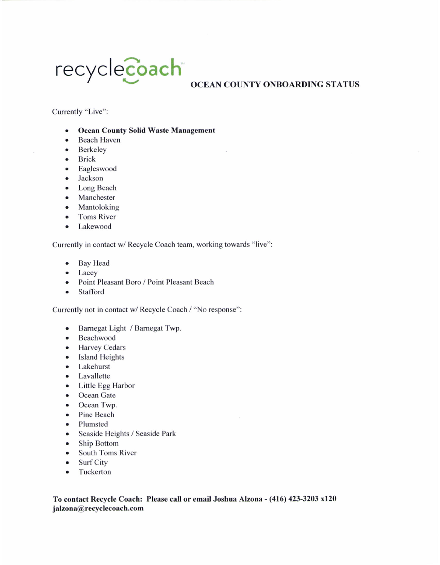# recycle **Coach** OCEAN COUNTY ONBOARDING STATUS

Currently "Live":

- **Ocean County Solid Waste Management**
- Beach Haven
- Berkeley
- Brick
- o Eagleswood
- o Jackson
- . Long Beach
- Manchester
- Mantoloking
- Toms River
- o Lakewood

Currently in contact w/ Recycle Coach team, working towards "live":

- Bay Head
- Lacey
- . Point Pleasant Boro / Point Pleasant Beach
- . Stafford

Currently not in contact w/ Recycle Coach / 'No response":

- o Barnegat Light / Barnegat Twp.
- Beachwood
- Harvey Cedars
- Island Heights
- o Lakehurst
- o Lavallette
- Little Egg Harbor
- Ocean Gate
- Ocean Twp.
- Pine Beach
- Plumsted
- . Seaside Heights / Seaside Park
- Ship Bottom
- South Toms River
- Surf City
- Tuckerton

To contact Recycle Coach: Please call or email Joshua Alzona - (416) 423-3203 x120 jalzona@recyclecoach.com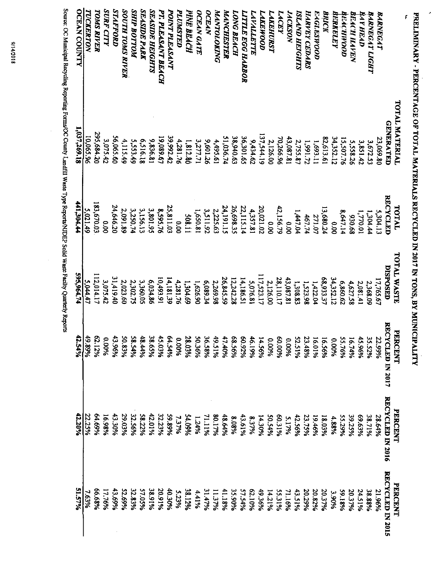**PRELIMINARY - PERCENTAGE OF TOTAL MATERIALS RECYCLED IN 2017 IN TONS, BY MUNICIPALITY** 

×

|                                 | TOTAL MATERIAL<br><b>GENERATED</b> | <b>LOTAL</b>                | <b>TOTAL WASTE</b>    | <b>PERCENT</b>                        | <b>PERCENT</b>          | <b>PRRCENT</b>                    |
|---------------------------------|------------------------------------|-----------------------------|-----------------------|---------------------------------------|-------------------------|-----------------------------------|
| <b>BARNEGAT</b>                 | 23,069.80                          | <b>RECYCLED</b><br>5,304.13 | DISPOSED              | ㅋ<br><b>ECYCLED IN 2017</b><br>22.99% | <b>RECYCLED IN 2016</b> | <b>RECYCLED IN 2015</b><br>21.96% |
| <b>BARNEGAT LIGHT</b>           | 3,672.53                           | 1,304.44                    | 17,765.67<br>2,368.09 | 35.52%                                | 38.71%<br>28.64%        | 38.88%                            |
| <b>BAY HEAD</b>                 | 3,851.42                           | 1,770.01                    | 2,081.41              | 45.96%                                | 99.63%                  | 24.51%                            |
| BEACH HAFEN                     | 5,558.26                           | 89.056                      | 4,627.58              | 16.74%                                | 39.25%                  | 20.37%                            |
| <b>AEACHIFOOD</b>               | 15,507.76                          | 8,647.14                    | 6,860.62              | 55.76%                                | 55.29%                  | 59.18%                            |
| <b>ATTRKELEY</b>                | 34,352.12                          | 00.00                       | 34,352.12             | 0.00%                                 | 4.88%                   | 9606°E                            |
| ANICK                           | 82,613.61                          | 13,680.24                   | 68,933.37             | 16.56%                                | 965031                  | 20.37%                            |
| E-4GLESHOOD                     | 1,693.11                           | 271.07                      | 1,422.04              | 16.01%                                | 19.46%                  | 20.82%                            |
| HARVEY CEDARS                   | 1,991.72                           | 467.74                      | 1,523.98              | 23.48%                                | 23.75%                  | 20,29%                            |
| <b>STHOISH ANYISI</b>           | 2,755.87                           | 1,447.04                    | 1,308.83              | <b>S2.51%</b>                         | 42.56%                  | 43.51%                            |
| <b><i>NOSYSOM</i></b>           | 43,087.8                           | 00.00                       | 43,087.81             | %00'0                                 | 5.17%                   | 71.16%                            |
| <b>LACEY</b>                    | 70,266.96                          | 42,156.79                   | 28,110.17             | %00.09                                | 60.31%                  | 55.31%                            |
| <b>LAKEHURST</b>                | 2,126.00                           | 0.00                        | 2,126.00              | 9600.0                                | 50.54%                  | 14.21%                            |
| LAKEWOOD                        | 137,544.19                         | 20,021.02                   | 117,523.17            | 14.56%                                | 14.30%                  | 49.36%                            |
| <i><b>LAYALLETTE</b></i>        | 9,434.62                           | 4,357.81                    | 5,076.81              | 46.19%                                | 8.37%                   | 62.10%                            |
| <i><b>LITTLE EGG HARBOR</b></i> | 36,301.65                          | 22,115.14                   | 14,186.51             | %26'09                                | 43.61%                  | 57.54%                            |
| <b>LONG BEACH</b>               | 38,940.63                          | 26,698.35                   | 12,242.28             | 68.56%                                | 8.08%                   | 35.90%                            |
| MANCHESTER                      | 51,036.74                          | 24,191.15                   | 26,845.59             | 47.40%                                | 48.64%                  | 41.18%                            |
| MANTOLOKING                     | 4,495.61                           | 2,225.63                    | 2,269.98              | 49.51%                                | 80.17%                  | <b>MALE</b> 11                    |
| <b>OCEAN</b>                    | 9,601.26                           | 3,511.92                    | 6,089.34              | 36.58%                                | 71.11%                  | 31.47%                            |
| <b>OCEAN GATE</b>               | 3,277.71                           | 1,650.81                    | 1,626.90              | 50.36%                                | 1.24%                   | 441%                              |
| PINE BEACH                      | 1,812.80                           | 508.11                      | 1,304.69              | 28.03%                                | 54.09%                  | 38.12%                            |
| <b>PLUMSTED</b>                 | 4.281.76                           | 00.00                       | 4,281.76              | 9600'0                                | 7.37%                   | 5.23%                             |
| POINT PLEASANT                  | 39.992.42                          | 25,811.03                   | 14,181.39             | 64.54%                                | 9668 65                 | 40.30%                            |
| PT. PLEASANT BEACH              | 19,089.67                          | 8,595.76                    | 10,493.91             | 45.03%                                | 32.23%                  | 20.91%                            |
| <b>SEASIDE HEIGHTS</b>          | 9,836.81                           | 3,801.95                    | 6,034.86              | 38.65%                                | 42.01%                  | 38.91%                            |
| <b>SEASIDE PARK</b>             | 6,516.18                           | 3,156.13                    | 3,360.05              | 48.44%                                | 58.22%                  | 57.05%                            |
| <b>NOTTOR AIRE</b>              | 5.553.49                           | 3,250.74                    | 2,302.75              | 58.54%                                | 32.56%                  | 32.83%                            |
| <b>SOUTH TOMS RIVER</b>         | 4,115.49                           | 2,091.89                    | 2,023.60              | 50.83%                                | 29.03%                  | 52.69%                            |
| <b>STAFFORD</b>                 | 56,065.60                          | 24,646.20                   | 31,419.40             | 43.96%                                | 43.30%                  | 43.69%                            |
| <b><i>SURF CITY</i></b>         | 3.075.42                           | 0.00                        | 3,075.42              | 9600'0                                | 16.98%                  | 17.76%                            |
| <b>TOMS RIVER</b>               | 295,684.20                         | 183,670.03                  | 112,014.17            | 62.12%                                | 64.69%                  | 66.68%                            |
| TUCKERTON                       | 10,065.96                          | 5,021.49                    | 5,044.47              | 49.89%                                | 22.25%                  | 7.63%                             |
| <b>OCEAN COUNTY</b>             | 1,037,269.18                       | 441,304.44                  | 595,964.74            | 42.54%                                | 42.20%                  | 51.57%                            |

Source: OC Municipal Recycling Reporting Forms/OC County Landfill Waste Type Reports/NIDEP Solid Waste Facilty Quarterly Reports

 $\bar{\bar{z}}$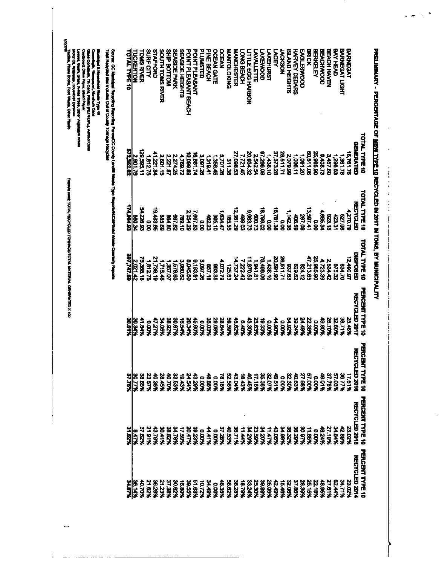| n.arn                | 31.62%                 | 37.75%                 | XIS.OK                 | 397,747.65           | 174,004.92       | 572,362.62           | <b>OTAL TYPE 10</b>     |
|----------------------|------------------------|------------------------|------------------------|----------------------|------------------|----------------------|-------------------------|
| <b>XPI 30</b>        | 8.47%                  | 30.77%                 | <b>XK DE</b>           | 2,021.42             | <b>PE'098</b>    | 2,901.76             | <b>UCKERTON</b>         |
| <b>207.0%</b>        | 37.62%                 | 38.85%                 | N 18.11                | 75,388.18            | <b>24,229,92</b> | 179,595.11           | <b>ONS RIVER</b>        |
| 31.62%               | 21.91%                 | <b>23.57%</b>          | $\frac{8}{3}$          | 1,812.75             | ទី<br>ខ          | 1,812.75             | <b>NRF CITY</b>         |
| X9Z9X                | 378%                   | 40.38%                 | 7 77 X                 | 21,738.19            | 19, 483.84       | 11,221.84            | <b>TAFFORD</b>          |
| 21.23%               | <b>20.41%</b>          | 28.45%                 | <b>%80.KC</b>          | - 115 KG             | <b>68.68</b>     | 2,801.15             | <b>SCITH LOWS RIVER</b> |
| 37.38%               | 525%                   | 40.70%                 | 38.92%                 | 10.28                | <b>081.80</b>    | 2,221.87             | NUT DO TTOM             |
| 30.82%               | <b>24.78%</b>          | 33.53%                 | 367%                   | 1,576.63             | 897.82           | 2,274.25             | <b>FASHE PARK</b>       |
| 5<br>58              | 17.59%                 | 19.43%                 | 16.54%                 | 3,000.62             | <b>282.10</b>    | 24.692 <sup>1</sup>  | EASIDE HEIGHTS          |
| 39.55%               | 20.47%                 | えきょ                    | አንድ ዐረ                 | <b>8.045.60</b>      | 2,054.29         | 10,099.85            | OINT PLEASANT BEACH     |
| 51.83%               | 39.23%                 | 43.29%                 | 45.80%                 | 0,183.91             | 7.697.83         | 16,881.74            | <b>OINT PLEASANT</b>    |
| <b>NZT 01</b>        | 9,00%                  | 0.00%                  | 9,00%                  | 3,007.26             | o.o              | 3,097.26             | <b>CONSTED</b>          |
| hat te               | ミートア                   | 48.88%                 | 35.03%                 | 85718                | 42.23            | 10181                | ME BEACH                |
| <b>POOK</b>          | 50%                    | %00'0                  | <b>%80.62</b>          | 363.36               | <b>382.10</b>    | 1.358 名              | <b>DCEAN GATE</b>       |
| 43.35%               | 37.28%                 | 78.18%                 | 28.64%                 | 4,072.79             | 1934.47          | <b>5,707,28</b>      | <b>DEAN</b>             |
| 58.62%               | 40.53%                 | 52.58%                 | 86%                    | 125.83               | 185.55           | 311.38               | <b>PADIOLOTIVE</b>      |
| 38.28%               | 38.71%                 | 43.04%                 | 45.82%                 | 4,737.2              | 12,361.29        | 27,098.53            | <b>ANCHESTER</b>        |
| 18.79%               | 11.44%                 | 18.43%                 | 6.48%                  | 222'                 | 199.03           | 7,721.45             | ONG BEACH               |
| 33.24%               | %8Z PE                 | 4245%                  | 43.30%                 | 11,870.55            | 9,083.73         | 20,834.32            | <b>TTLE EGG HARBOR</b>  |
| 25.30%               | 23.59%                 | 17.18%                 | 23.63%                 | 1,941.81             | 67.008           | 25425                | <b>WALLETTE</b>         |
| 39.99%               | <b>%0216</b>           | 35.38%                 | 18.33%                 | 78,488.09            | 18,798.02        | <b>PO BBC 18</b>     | <b>AKENCOD</b>          |
| 25.08%               | 4747%                  | 32.07%                 | 6.00%                  | 1,438.10             | o.<br>S          | ।'*38'10             | <b>AKEHURST</b>         |
| 43.49%               | <b>13.05%</b>          | 415.94                 | 4.06.A                 | 20,591.9C            | 16,781.38        | 37,373.28            | AGEY                    |
| 15.46%               | <b>XASO.AS</b>         | 4000                   | <b>D.00%</b>           | 28,511.71            | o<br>8           | 28,511.71            | <b>HORSON</b>           |
| 22.08%               | 33.32%                 | 32.30%                 | <b>KZB PS</b>          | 83,53                | 1,142.38         | 2,079.96             | SLAND HEIGHTS           |
| 37.88%               | XAZ.BS                 | 40.B3%                 | <b>XPZ.05</b>          | 29.629               | 406.58           | 1,038.11             | <b>WRVEY CEDARS</b>     |
| <b>28.39%</b>        | 30.97%                 | 27.68%                 | <b>24.48%</b>          | 21.13                | 267.08           | 021801               | <b>NGLESWOOD</b>        |
| 25.15%               | 11.85%                 | 57.00%                 | 22.38%                 | にといめ                 | 3,597.4          | BO,B11.08            | 男员                      |
| 22.16%               | 0.00%                  | 600%                   | <b>0.00%</b>           | 25,985.90            | o<br>8           | 25,985.90            | 品式石气                    |
| 48.95%               | たいだ                    | 49.01%                 | 19.80%                 | 1,723.36             | 4,685.34         | <b>9,408.73</b>      | <b>BEACHMOOD</b>        |
| 27.61%               | 27.19%                 | 37.78%                 | X01.85                 | 2,534.42             | 81.CZ6           | 3,457.60             | <b>BEACH HAVEN</b>      |
| 22.44%               | XXXXX                  | 57.03%                 | 22.90%                 | 875.32               | 123.31           | 1,208.63             | ツメモアロ                   |
| 34.71%               | 12.BB%                 | 36.77%                 | 28.71%                 | <b>DZ 168</b>        | 227.08           | 1,361.78             | ARNEGAT LIGHT           |
| 23.02%               | 23.02%                 | 17.519                 | <b>184.85</b>          | 12,490.9             | A.270.71         | 6,761.76             | <b>BARNEGAT</b>         |
| <b>RECYCLED 2014</b> | RECYCLED 2015          | 吊り<br>일반 2018          | <b>RECYCLED 2017</b>   | <b>DEPOSED</b>       | <b>RECYCLED</b>  | <b>GENERATED</b>     |                         |
| PERCENT TYPE 10      | <b>PERCENT TYPE 10</b> | <b>HERCEN</b><br>コンマード | <b>PERCENT TYPE 10</b> | <b>POTAL TYPE 10</b> | TOTAL TYPE 10    | <b>TOTAL TYPE 10</b> |                         |

PRELIMINARY - PERCENTAGE OF MSHYTTPE 10 RECYCLED IN 2017 IN TONS, BY MUNICIPALITY

 $\ddot{\phantom{a}}$ 

 $\ddot{\phantom{a}}$ 

 $\frac{1}{\sqrt{2}}$ 

ł

 $\bar{\chi}$ 

Sourcer, OC Municipal Recycling Reporting Forme/OC County Landiffi Weeke 17yo ResponsivALDEPScilol Weeke Counterly Reports<br>Tokis Responsi site traductes Out of County Tonnage Recyclist

Musicipal & Household Wade Type 10<br>Comerical & Numerace, Alembury Cate<br>Class Cortes, Th Cate, Paulis (PETADE), American<br>Class Cortes, The Cate, Paulis (PETADE), American<br>Class Cortes, Paulis (Paulis Distribution Victor)<br>Ma

**UNCORD** 

Formula vaed: TOTAL RECYCLED TOWAGE/TOTAL MATERIAL GENERATED X 100

 $\mathcal{L}$